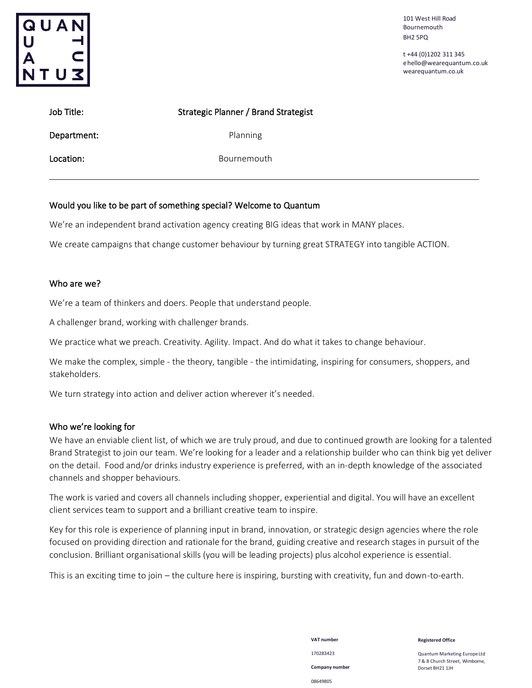

101 West Hill Road Bournemouth BH2 5PQ

t +44 (0)1202 311 345 [ehello@wearequantum.co.uk](mailto:hello@wearequantum.co.uk) wearequantum.co.uk

| Job Title:  | Strategic Planner / Brand Strategist |  |
|-------------|--------------------------------------|--|
| Department: | Planning                             |  |
| Location:   | Bournemouth                          |  |

### Would you like to be part of something special? Welcome to Quantum

We're an independent brand activation agency creating BIG ideas that work in MANY places.

We create campaigns that change customer behaviour by turning great STRATEGY into tangible ACTION.

### Who are we?

We're a team of thinkers and doers. People that understand people.

A challenger brand, working with challenger brands.

We practice what we preach. Creativity. Agility. Impact. And do what it takes to change behaviour.

We make the complex, simple - the theory, tangible - the intimidating, inspiring for consumers, shoppers, and stakeholders.

We turn strategy into action and deliver action wherever it's needed.

#### Who we're looking for

We have an enviable client list, of which we are truly proud, and due to continued growth are looking for a talented Brand Strategist to join our team. We're looking for a leader and a relationship builder who can think big yet deliver on the detail. Food and/or drinks industry experience is preferred, with an in-depth knowledge of the associated channels and shopper behaviours.

The work is varied and covers all channels including shopper, experiential and digital. You will have an excellent client services team to support and a brilliant creative team to inspire.

Key for this role is experience of planning input in brand, innovation, or strategic design agencies where the role focused on providing direction and rationale for the brand, guiding creative and research stages in pursuit of the conclusion. Brilliant organisational skills (you will be leading projects) plus alcohol experience is essential.

This is an exciting time to join – the culture here is inspiring, bursting with creativity, fun and down-to-earth.

**VAT number** 170283423 **Company number** 08649805

**Registered Office**

Quantum Marketing EuropeLtd 7 & 8 Church Street, Wimborne, Dorset BH21 1JH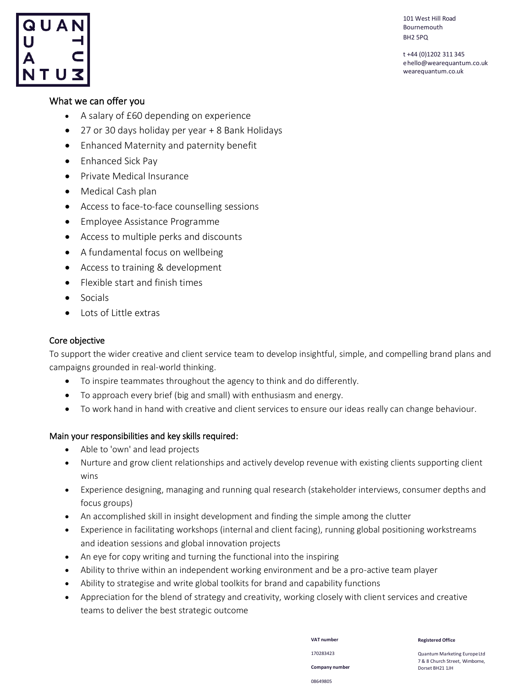

t +44 (0)1202 311 345 [ehello@wearequantum.co.uk](mailto:hello@wearequantum.co.uk) wearequantum.co.uk

# QUAN

# What we can offer you

- A salary of £60 depending on experience
- 27 or 30 days holiday per year + 8 Bank Holidays
- Enhanced Maternity and paternity benefit
- Enhanced Sick Pay
- Private Medical Insurance
- Medical Cash plan
- Access to face-to-face counselling sessions
- Employee Assistance Programme
- Access to multiple perks and discounts
- A fundamental focus on wellbeing
- Access to training & development
- Flexible start and finish times
- Socials
- Lots of Little extras

### Core objective

To support the wider creative and client service team to develop insightful, simple, and compelling brand plans and campaigns grounded in real-world thinking.

- To inspire teammates throughout the agency to think and do differently.
- To approach every brief (big and small) with enthusiasm and energy.
- To work hand in hand with creative and client services to ensure our ideas really can change behaviour.

## Main your responsibilities and key skills required:

- Able to 'own' and lead projects
- Nurture and grow client relationships and actively develop revenue with existing clients supporting client wins
- Experience designing, managing and running qual research (stakeholder interviews, consumer depths and focus groups)
- An accomplished skill in insight development and finding the simple among the clutter
- Experience in facilitating workshops (internal and client facing), running global positioning workstreams and ideation sessions and global innovation projects
- An eye for copy writing and turning the functional into the inspiring
- Ability to thrive within an independent working environment and be a pro-active team player
- Ability to strategise and write global toolkits for brand and capability functions
- Appreciation for the blend of strategy and creativity, working closely with client services and creative teams to deliver the best strategic outcome

170283423 **Company number** 08649805

**VAT number**

**Registered Office**

Quantum Marketing EuropeLtd 7 & 8 Church Street, Wimborne, Dorset BH21 1JH